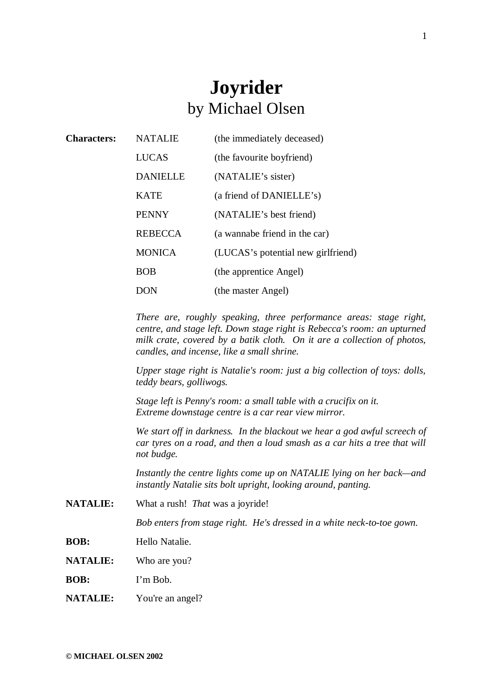## **Joyrider** by Michael Olsen

| <b>NATALIE</b>                                                                                                                                                                                                                                                         | (the immediately deceased)         |
|------------------------------------------------------------------------------------------------------------------------------------------------------------------------------------------------------------------------------------------------------------------------|------------------------------------|
| <b>LUCAS</b>                                                                                                                                                                                                                                                           | (the favourite boyfriend)          |
| <b>DANIELLE</b>                                                                                                                                                                                                                                                        | (NATALIE's sister)                 |
| <b>KATE</b>                                                                                                                                                                                                                                                            | (a friend of DANIELLE's)           |
| <b>PENNY</b>                                                                                                                                                                                                                                                           | (NATALIE's best friend)            |
| <b>REBECCA</b>                                                                                                                                                                                                                                                         | (a wannabe friend in the car)      |
| <b>MONICA</b>                                                                                                                                                                                                                                                          | (LUCAS's potential new girlfriend) |
| <b>BOB</b>                                                                                                                                                                                                                                                             | (the apprentice Angel)             |
| <b>DON</b>                                                                                                                                                                                                                                                             | (the master Angel)                 |
| There are, roughly speaking, three performance areas: stage right,<br>centre, and stage left. Down stage right is Rebecca's room: an upturned<br>milk crate, covered by a batik cloth. On it are a collection of photos,<br>candles, and incense, like a small shrine. |                                    |
| Upper stage right is Natalie's room: just a big collection of toys: dolls,<br>teddy bears, golliwogs.                                                                                                                                                                  |                                    |
| Stage left is Penny's room: a small table with a crucifix on it.<br>Extreme downstage centre is a car rear view mirror.                                                                                                                                                |                                    |
| We start off in darkness. In the blackout we hear a god awful screech of<br>car tyres on a road, and then a loud smash as a car hits a tree that will<br>not budge.                                                                                                    |                                    |
| Instantly the centre lights come up on NATALIE lying on her back—and<br>instantly Natalie sits bolt upright, looking around, panting.                                                                                                                                  |                                    |
| What a rush! That was a joyride!                                                                                                                                                                                                                                       |                                    |
| Bob enters from stage right. He's dressed in a white neck-to-toe gown.                                                                                                                                                                                                 |                                    |
| Hello Natalie.                                                                                                                                                                                                                                                         |                                    |
| Who are you?                                                                                                                                                                                                                                                           |                                    |
| I'm Bob.                                                                                                                                                                                                                                                               |                                    |
| You're an angel?                                                                                                                                                                                                                                                       |                                    |
|                                                                                                                                                                                                                                                                        |                                    |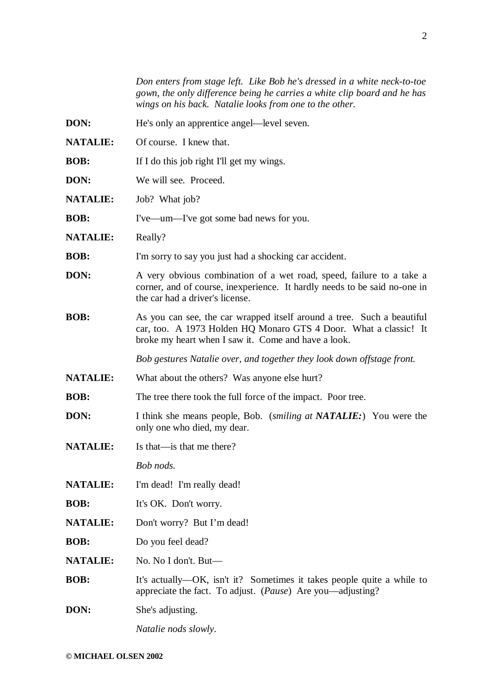*Don enters from stage left. Like Bob he's dressed in a white neck-to-toe gown, the only difference being he carries a white clip board and he has wings on his back. Natalie looks from one to the other.*

- **DON:** He's only an apprentice angel—level seven.
- **NATALIE:** Of course. I knew that.
- **BOB:** If I do this job right I'll get my wings.
- **DON:** We will see. Proceed.
- **NATALIE:** Job? What job?
- **BOB:** I've—um—I've got some bad news for you.
- NATALIE: Really?
- **BOB:** I'm sorry to say you just had a shocking car accident.
- **DON:** A very obvious combination of a wet road, speed, failure to a take a corner, and of course, inexperience. It hardly needs to be said no-one in the car had a driver's license.
- **BOB:** As you can see, the car wrapped itself around a tree. Such a beautiful car, too. A 1973 Holden HQ Monaro GTS 4 Door. What a classic! It broke my heart when I saw it. Come and have a look.

*Bob gestures Natalie over, and together they look down offstage front*.

- **NATALIE:** What about the others? Was anyone else hurt?
- **BOB:** The tree there took the full force of the impact. Poor tree.
- **DON:** I think she means people, Bob. (*smiling at NATALIE:*) You were the only one who died, my dear.
- **NATALIE:** Is that—is that me there?

*Bob nods.*

- NATALIE: I'm dead! I'm really dead!
- **BOB:** It's OK. Don't worry.
- **NATALIE:** Don't worry? But I'm dead!
- **BOB:** Do you feel dead?
- **NATALIE:** No. No I don't. But—
- **BOB:** It's actually—OK, isn't it? Sometimes it takes people quite a while to appreciate the fact. To adjust. (*Pause*) Are you—adjusting?
- **DON:** She's adjusting.

*Natalie nods slowly.*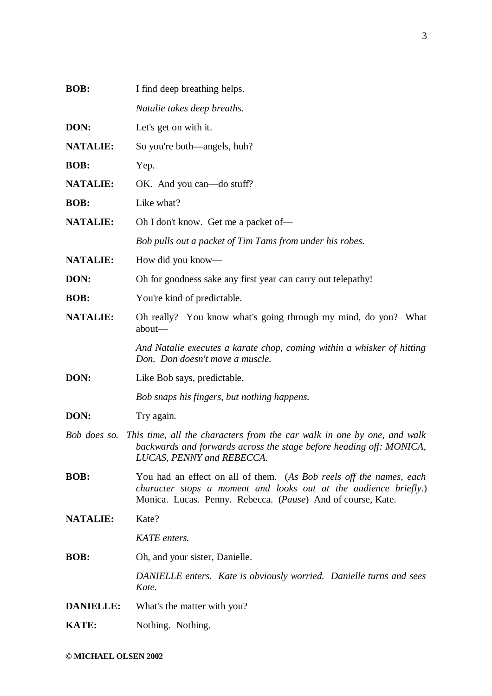| <b>BOB:</b>      | I find deep breathing helps.                                                                                                                                                                           |
|------------------|--------------------------------------------------------------------------------------------------------------------------------------------------------------------------------------------------------|
|                  | Natalie takes deep breaths.                                                                                                                                                                            |
| DON:             | Let's get on with it.                                                                                                                                                                                  |
| <b>NATALIE:</b>  | So you're both—angels, huh?                                                                                                                                                                            |
| <b>BOB:</b>      | Yep.                                                                                                                                                                                                   |
| <b>NATALIE:</b>  | OK. And you can—do stuff?                                                                                                                                                                              |
| <b>BOB:</b>      | Like what?                                                                                                                                                                                             |
| <b>NATALIE:</b>  | Oh I don't know. Get me a packet of—                                                                                                                                                                   |
|                  | Bob pulls out a packet of Tim Tams from under his robes.                                                                                                                                               |
| <b>NATALIE:</b>  | How did you know—                                                                                                                                                                                      |
| DON:             | Oh for goodness sake any first year can carry out telepathy!                                                                                                                                           |
| <b>BOB:</b>      | You're kind of predictable.                                                                                                                                                                            |
| <b>NATALIE:</b>  | Oh really? You know what's going through my mind, do you? What<br>about-                                                                                                                               |
|                  | And Natalie executes a karate chop, coming within a whisker of hitting<br>Don. Don doesn't move a muscle.                                                                                              |
| DON:             | Like Bob says, predictable.                                                                                                                                                                            |
|                  | Bob snaps his fingers, but nothing happens.                                                                                                                                                            |
| DON:             | Try again.                                                                                                                                                                                             |
| Bob does so.     | This time, all the characters from the car walk in one by one, and walk<br>backwards and forwards across the stage before heading off: MONICA,<br>LUCAS, PENNY and REBECCA.                            |
| <b>BOB:</b>      | You had an effect on all of them. (As Bob reels off the names, each<br>character stops a moment and looks out at the audience briefly.)<br>Monica. Lucas. Penny. Rebecca. (Pause) And of course, Kate. |
| <b>NATALIE:</b>  | Kate?                                                                                                                                                                                                  |
|                  | KATE enters.                                                                                                                                                                                           |
| <b>BOB:</b>      | Oh, and your sister, Danielle.                                                                                                                                                                         |
|                  | DANIELLE enters. Kate is obviously worried. Danielle turns and sees<br>Kate.                                                                                                                           |
| <b>DANIELLE:</b> | What's the matter with you?                                                                                                                                                                            |
| <b>KATE:</b>     | Nothing. Nothing.                                                                                                                                                                                      |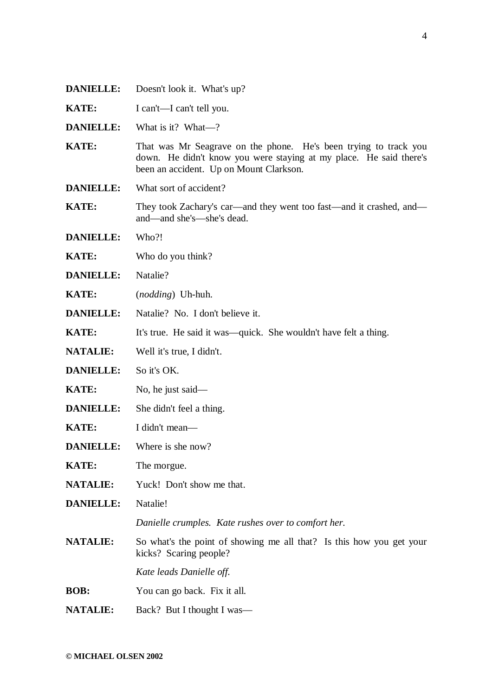- **DANIELLE:** Doesn't look it. What's up?
- **KATE:** I can't—I can't tell you.
- **DANIELLE:** What is it? What—?
- **KATE:** That was Mr Seagrave on the phone. He's been trying to track you down. He didn't know you were staying at my place. He said there's been an accident. Up on Mount Clarkson.
- **DANIELLE:** What sort of accident?
- **KATE:** They took Zachary's car—and they went too fast—and it crashed, and and—and she's—she's dead.
- **DANIELLE:** Who?!
- **KATE:** Who do you think?
- **DANIELLE:** Natalie?
- **KATE:** (*nodding*) Uh-huh.
- **DANIELLE:** Natalie? No. I don't believe it.
- **KATE:** It's true. He said it was—quick. She wouldn't have felt a thing.
- **NATALIE:** Well it's true, I didn't.
- **DANIELLE:** So it's OK.
- **KATE:** No, he just said—
- **DANIELLE:** She didn't feel a thing.
- **KATE:** I didn't mean—
- **DANIELLE:** Where is she now?
- **KATE:** The morgue.
- **NATALIE:** Yuck! Don't show me that.
- **DANIELLE:** Natalie!

*Danielle crumples. Kate rushes over to comfort her.*

**NATALIE:** So what's the point of showing me all that? Is this how you get your kicks? Scaring people?

*Kate leads Danielle off.*

- **BOB:** You can go back. Fix it all.
- **NATALIE:** Back? But I thought I was—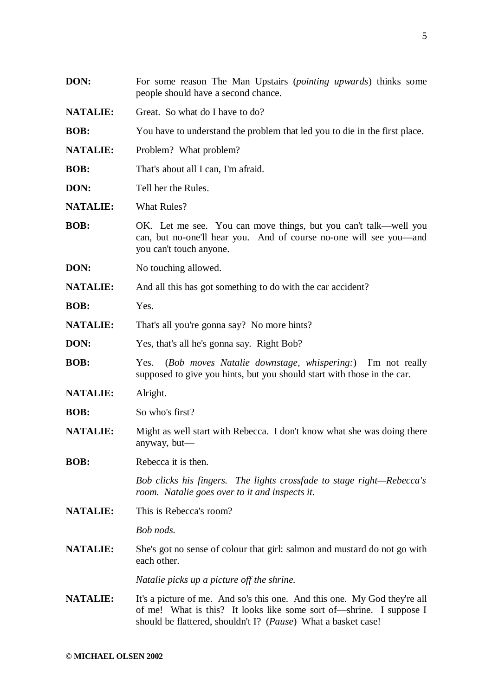| DON:            | For some reason The Man Upstairs ( <i>pointing upwards</i> ) thinks some<br>people should have a second chance.                                                                                                   |
|-----------------|-------------------------------------------------------------------------------------------------------------------------------------------------------------------------------------------------------------------|
| <b>NATALIE:</b> | Great. So what do I have to do?                                                                                                                                                                                   |
| <b>BOB:</b>     | You have to understand the problem that led you to die in the first place.                                                                                                                                        |
| <b>NATALIE:</b> | Problem? What problem?                                                                                                                                                                                            |
| <b>BOB:</b>     | That's about all I can, I'm afraid.                                                                                                                                                                               |
| DON:            | Tell her the Rules.                                                                                                                                                                                               |
| <b>NATALIE:</b> | <b>What Rules?</b>                                                                                                                                                                                                |
| <b>BOB:</b>     | OK. Let me see. You can move things, but you can't talk—well you<br>can, but no-one'll hear you. And of course no-one will see you-and<br>you can't touch anyone.                                                 |
| DON:            | No touching allowed.                                                                                                                                                                                              |
| <b>NATALIE:</b> | And all this has got something to do with the car accident?                                                                                                                                                       |
| <b>BOB:</b>     | Yes.                                                                                                                                                                                                              |
| <b>NATALIE:</b> | That's all you're gonna say? No more hints?                                                                                                                                                                       |
| DON:            | Yes, that's all he's gonna say. Right Bob?                                                                                                                                                                        |
| <b>BOB:</b>     | (Bob moves Natalie downstage, whispering:) I'm not really<br>Yes.<br>supposed to give you hints, but you should start with those in the car.                                                                      |
| <b>NATALIE:</b> | Alright.                                                                                                                                                                                                          |
| <b>BOB:</b>     | So who's first?                                                                                                                                                                                                   |
| <b>NATALIE:</b> | Might as well start with Rebecca. I don't know what she was doing there<br>anyway, but-                                                                                                                           |
| <b>BOB:</b>     | Rebecca it is then.                                                                                                                                                                                               |
|                 | Bob clicks his fingers. The lights crossfade to stage right—Rebecca's<br>room. Natalie goes over to it and inspects it.                                                                                           |
| <b>NATALIE:</b> | This is Rebecca's room?                                                                                                                                                                                           |
|                 | Bob nods.                                                                                                                                                                                                         |
| <b>NATALIE:</b> | She's got no sense of colour that girl: salmon and mustard do not go with<br>each other.                                                                                                                          |
|                 | Natalie picks up a picture off the shrine.                                                                                                                                                                        |
| <b>NATALIE:</b> | It's a picture of me. And so's this one. And this one. My God they're all<br>of me! What is this? It looks like some sort of—shrine. I suppose I<br>should be flattered, shouldn't I? (Pause) What a basket case! |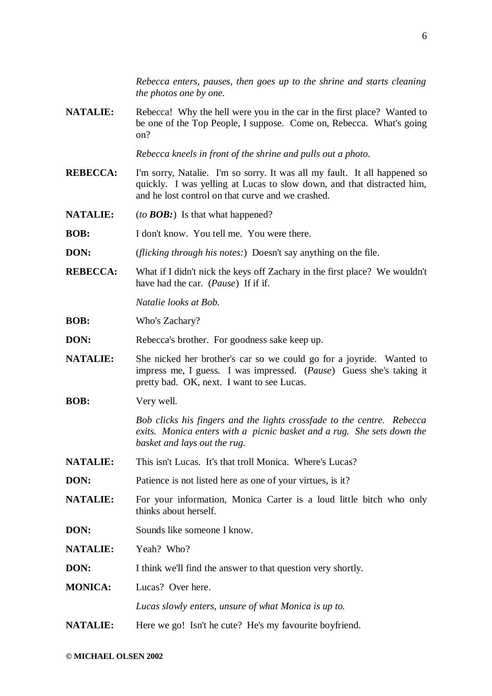*Rebecca enters, pauses, then goes up to the shrine and starts cleaning the photos one by one.*

**NATALIE:** Rebecca! Why the hell were you in the car in the first place? Wanted to be one of the Top People, I suppose. Come on, Rebecca. What's going on?

*Rebecca kneels in front of the shrine and pulls out a photo.*

- **REBECCA:** I'm sorry, Natalie. I'm so sorry. It was all my fault. It all happened so quickly. I was yelling at Lucas to slow down, and that distracted him, and he lost control on that curve and we crashed.
- **NATALIE:** (*to BOB:*) Is that what happened?

**BOB:** I don't know. You tell me. You were there.

- **DON:** (*flicking through his notes:*) Doesn't say anything on the file.
- **REBECCA:** What if I didn't nick the keys off Zachary in the first place? We wouldn't have had the car. (*Pause*) If if if.

*Natalie looks at Bob.*

- **BOB:** Who's Zachary?
- **DON:** Rebecca's brother. For goodness sake keep up.
- **NATALIE:** She nicked her brother's car so we could go for a joyride. Wanted to impress me, I guess. I was impressed. (*Pause*) Guess she's taking it pretty bad. OK, next. I want to see Lucas.
- **BOB:** Very well.

*Bob clicks his fingers and the lights crossfade to the centre. Rebecca exits. Monica enters with a picnic basket and a rug. She sets down the basket and lays out the rug.*

- **NATALIE:** This isn't Lucas. It's that troll Monica. Where's Lucas?
- **DON:** Patience is not listed here as one of your virtues, is it?
- **NATALIE:** For your information, Monica Carter is a loud little bitch who only thinks about herself.
- **DON:** Sounds like someone I know.

**NATALIE:** Yeah? Who?

**DON:** I think we'll find the answer to that question very shortly.

**MONICA:** Lucas? Over here.

*Lucas slowly enters, unsure of what Monica is up to.*

**NATALIE:** Here we go! Isn't he cute? He's my favourite boyfriend.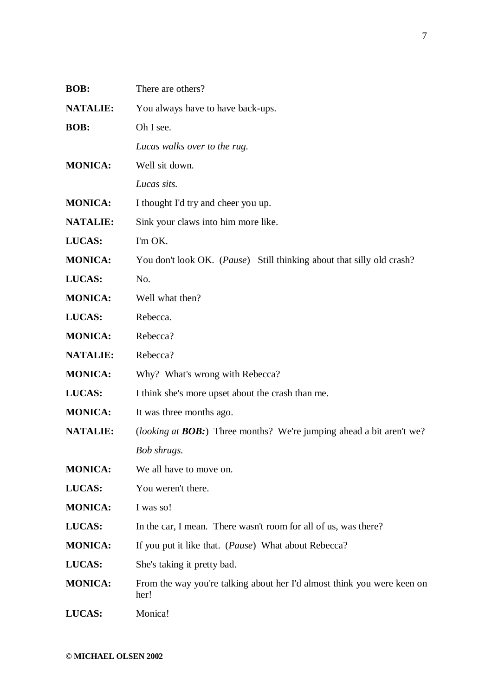| <b>BOB:</b>     | There are others?                                                               |
|-----------------|---------------------------------------------------------------------------------|
| <b>NATALIE:</b> | You always have to have back-ups.                                               |
| <b>BOB:</b>     | Oh I see.                                                                       |
|                 | Lucas walks over to the rug.                                                    |
| <b>MONICA:</b>  | Well sit down.                                                                  |
|                 | Lucas sits.                                                                     |
| <b>MONICA:</b>  | I thought I'd try and cheer you up.                                             |
| <b>NATALIE:</b> | Sink your claws into him more like.                                             |
| LUCAS:          | I'm OK.                                                                         |
| <b>MONICA:</b>  | You don't look OK. ( <i>Pause</i> ) Still thinking about that silly old crash?  |
| LUCAS:          | No.                                                                             |
| <b>MONICA:</b>  | Well what then?                                                                 |
| LUCAS:          | Rebecca.                                                                        |
| <b>MONICA:</b>  | Rebecca?                                                                        |
| <b>NATALIE:</b> | Rebecca?                                                                        |
| <b>MONICA:</b>  | Why? What's wrong with Rebecca?                                                 |
| LUCAS:          | I think she's more upset about the crash than me.                               |
| <b>MONICA:</b>  | It was three months ago.                                                        |
| <b>NATALIE:</b> | <i>(looking at BOB:)</i> Three months? We're jumping ahead a bit aren't we?     |
|                 | Bob shrugs.                                                                     |
| <b>MONICA:</b>  | We all have to move on.                                                         |
| LUCAS:          | You weren't there.                                                              |
| <b>MONICA:</b>  | I was so!                                                                       |
| LUCAS:          | In the car, I mean. There wasn't room for all of us, was there?                 |
| <b>MONICA:</b>  | If you put it like that. ( <i>Pause</i> ) What about Rebecca?                   |
| LUCAS:          | She's taking it pretty bad.                                                     |
| <b>MONICA:</b>  | From the way you're talking about her I'd almost think you were keen on<br>her! |
| LUCAS:          | Monica!                                                                         |
|                 |                                                                                 |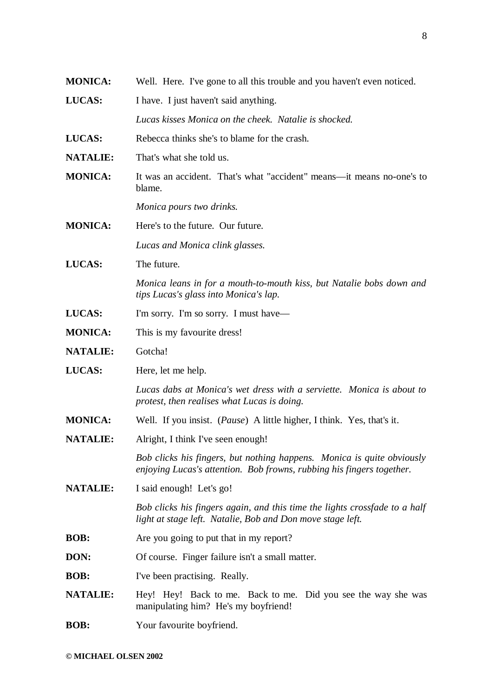| <b>MONICA:</b>  | Well. Here. I've gone to all this trouble and you haven't even noticed.                                                                         |
|-----------------|-------------------------------------------------------------------------------------------------------------------------------------------------|
| LUCAS:          | I have. I just haven't said anything.                                                                                                           |
|                 | Lucas kisses Monica on the cheek. Natalie is shocked.                                                                                           |
| LUCAS:          | Rebecca thinks she's to blame for the crash.                                                                                                    |
| <b>NATALIE:</b> | That's what she told us.                                                                                                                        |
| <b>MONICA:</b>  | It was an accident. That's what "accident" means—it means no-one's to<br>blame.                                                                 |
|                 | Monica pours two drinks.                                                                                                                        |
| <b>MONICA:</b>  | Here's to the future. Our future.                                                                                                               |
|                 | Lucas and Monica clink glasses.                                                                                                                 |
| LUCAS:          | The future.                                                                                                                                     |
|                 | Monica leans in for a mouth-to-mouth kiss, but Natalie bobs down and<br>tips Lucas's glass into Monica's lap.                                   |
| LUCAS:          | I'm sorry. I'm so sorry. I must have—                                                                                                           |
| <b>MONICA:</b>  | This is my favourite dress!                                                                                                                     |
| <b>NATALIE:</b> | Gotcha!                                                                                                                                         |
| LUCAS:          | Here, let me help.                                                                                                                              |
|                 | Lucas dabs at Monica's wet dress with a serviette. Monica is about to<br>protest, then realises what Lucas is doing.                            |
| <b>MONICA:</b>  | Well. If you insist. ( <i>Pause</i> ) A little higher, I think. Yes, that's it.                                                                 |
| <b>NATALIE:</b> | Alright, I think I've seen enough!                                                                                                              |
|                 | Bob clicks his fingers, but nothing happens. Monica is quite obviously<br>enjoying Lucas's attention. Bob frowns, rubbing his fingers together. |
| <b>NATALIE:</b> | I said enough! Let's go!                                                                                                                        |
|                 | Bob clicks his fingers again, and this time the lights crossfade to a half<br>light at stage left. Natalie, Bob and Don move stage left.        |
| <b>BOB:</b>     | Are you going to put that in my report?                                                                                                         |
| DON:            | Of course. Finger failure isn't a small matter.                                                                                                 |
| <b>BOB:</b>     | I've been practising. Really.                                                                                                                   |
| <b>NATALIE:</b> | Hey! Hey! Back to me. Back to me. Did you see the way she was<br>manipulating him? He's my boyfriend!                                           |
| <b>BOB:</b>     | Your favourite boyfriend.                                                                                                                       |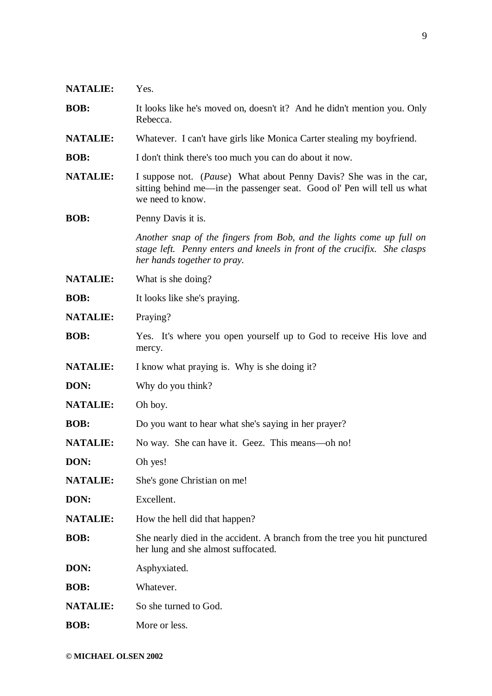| <b>NATALIE:</b> | Yes.                                                                                                                                                                            |
|-----------------|---------------------------------------------------------------------------------------------------------------------------------------------------------------------------------|
| <b>BOB:</b>     | It looks like he's moved on, doesn't it? And he didn't mention you. Only<br>Rebecca.                                                                                            |
| <b>NATALIE:</b> | Whatever. I can't have girls like Monica Carter stealing my boyfriend.                                                                                                          |
| <b>BOB:</b>     | I don't think there's too much you can do about it now.                                                                                                                         |
| <b>NATALIE:</b> | I suppose not. (Pause) What about Penny Davis? She was in the car,<br>sitting behind me-in the passenger seat. Good ol' Pen will tell us what<br>we need to know.               |
| <b>BOB:</b>     | Penny Davis it is.                                                                                                                                                              |
|                 | Another snap of the fingers from Bob, and the lights come up full on<br>stage left. Penny enters and kneels in front of the crucifix. She clasps<br>her hands together to pray. |
| <b>NATALIE:</b> | What is she doing?                                                                                                                                                              |
| <b>BOB:</b>     | It looks like she's praying.                                                                                                                                                    |
| <b>NATALIE:</b> | Praying?                                                                                                                                                                        |
| <b>BOB:</b>     | Yes. It's where you open yourself up to God to receive His love and<br>mercy.                                                                                                   |
| <b>NATALIE:</b> | I know what praying is. Why is she doing it?                                                                                                                                    |
| DON:            | Why do you think?                                                                                                                                                               |
| <b>NATALIE:</b> | Oh boy.                                                                                                                                                                         |
| <b>BOB:</b>     | Do you want to hear what she's saying in her prayer?                                                                                                                            |
| <b>NATALIE:</b> | No way. She can have it. Geez. This means—oh no!                                                                                                                                |
| DON:            | Oh yes!                                                                                                                                                                         |
| <b>NATALIE:</b> | She's gone Christian on me!                                                                                                                                                     |
| DON:            | Excellent.                                                                                                                                                                      |
| <b>NATALIE:</b> | How the hell did that happen?                                                                                                                                                   |
| <b>BOB:</b>     | She nearly died in the accident. A branch from the tree you hit punctured<br>her lung and she almost suffocated.                                                                |
| DON:            | Asphyxiated.                                                                                                                                                                    |
| <b>BOB:</b>     | Whatever.                                                                                                                                                                       |
| <b>NATALIE:</b> | So she turned to God.                                                                                                                                                           |
| <b>BOB:</b>     | More or less.                                                                                                                                                                   |